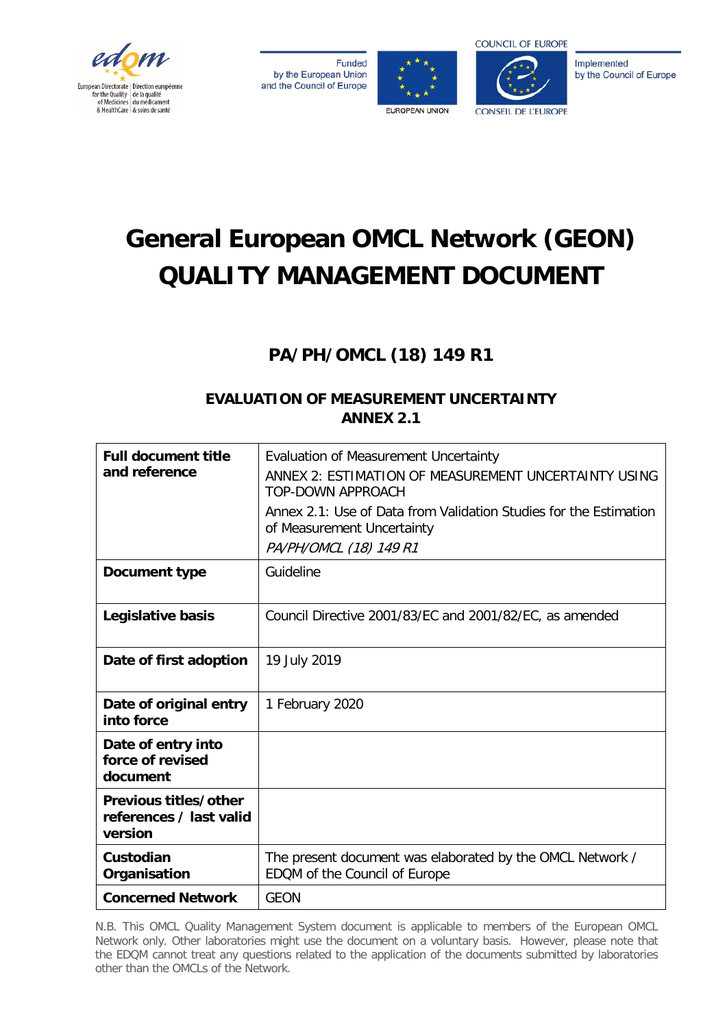

**Funded** by the European Union and the Council of Europe





Implemented by the Council of Europe

# **General European OMCL Network (GEON) QUALITY MANAGEMENT DOCUMENT**

# **PA/PH/OMCL (18) 149 R1**

# **EVALUATION OF MEASUREMENT UNCERTAINTY ANNEX 2.1**

| <b>Full document title</b><br>and reference                 | <b>Evaluation of Measurement Uncertainty</b><br>ANNEX 2: ESTIMATION OF MEASUREMENT UNCERTAINTY USING<br><b>TOP-DOWN APPROACH</b><br>Annex 2.1: Use of Data from Validation Studies for the Estimation<br>of Measurement Uncertainty<br>PA/PH/OMCL (18) 149 R1 |
|-------------------------------------------------------------|---------------------------------------------------------------------------------------------------------------------------------------------------------------------------------------------------------------------------------------------------------------|
| Document type                                               | Guideline                                                                                                                                                                                                                                                     |
| Legislative basis                                           | Council Directive 2001/83/EC and 2001/82/EC, as amended                                                                                                                                                                                                       |
| Date of first adoption                                      | 19 July 2019                                                                                                                                                                                                                                                  |
| Date of original entry<br>into force                        | 1 February 2020                                                                                                                                                                                                                                               |
| Date of entry into<br>force of revised<br>document          |                                                                                                                                                                                                                                                               |
| Previous titles/other<br>references / last valid<br>version |                                                                                                                                                                                                                                                               |
| Custodian<br>Organisation                                   | The present document was elaborated by the OMCL Network /<br>EDQM of the Council of Europe                                                                                                                                                                    |
| <b>Concerned Network</b>                                    | <b>GEON</b>                                                                                                                                                                                                                                                   |

N.B. This OMCL Quality Management System document is applicable to members of the European OMCL Network only. Other laboratories might use the document on a voluntary basis. However, please note that the EDQM cannot treat any questions related to the application of the documents submitted by laboratories other than the OMCLs of the Network.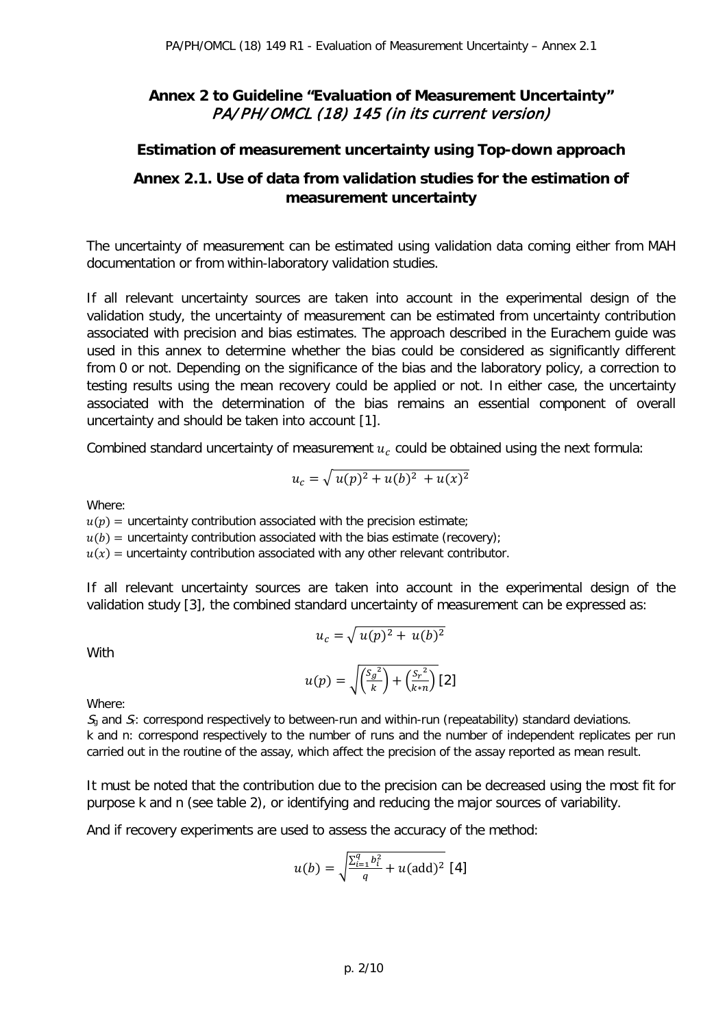# **Annex 2 to Guideline "Evaluation of Measurement Uncertainty"**  PA/PH/OMCL (18) 145 (in its current version)

## **Estimation of measurement uncertainty using Top-down approach**

## **Annex 2.1. Use of data from validation studies for the estimation of measurement uncertainty**

The uncertainty of measurement can be estimated using validation data coming either from MAH documentation or from within-laboratory validation studies.

If all relevant uncertainty sources are taken into account in the experimental design of the validation study, the uncertainty of measurement can be estimated from uncertainty contribution associated with precision and bias estimates. The approach described in the Eurachem guide was used in this annex to determine whether the bias could be considered as significantly different from 0 or not. Depending on the significance of the bias and the laboratory policy, a correction to testing results using the mean recovery could be applied or not. In either case, the uncertainty associated with the determination of the bias remains an essential component of overall uncertainty and should be taken into account [1].

Combined standard uncertainty of measurement  $u_c$  could be obtained using the next formula:

$$
u_c = \sqrt{u(p)^2 + u(b)^2 + u(x)^2}
$$

Where:

 $u(p)$  = uncertainty contribution associated with the precision estimate;  $u(b)$  = uncertainty contribution associated with the bias estimate (recovery);

 $u(x)$  = uncertainty contribution associated with any other relevant contributor.

If all relevant uncertainty sources are taken into account in the experimental design of the validation study [3], the combined standard uncertainty of measurement can be expressed as:

$$
u_c = \sqrt{u(p)^2 + u(b)^2}
$$

**With** 

$$
u(p) = \sqrt{\left(\frac{S_g^2}{k}\right) + \left(\frac{S_r^2}{k*n}\right)} [2]
$$

Where:

 $S<sub>0</sub>$  and  $S<sub>i</sub>$ : correspond respectively to between-run and within-run (repeatability) standard deviations. k and n: correspond respectively to the number of runs and the number of independent replicates per run carried out in the routine of the assay, which affect the precision of the assay reported as mean result.

It must be noted that the contribution due to the precision can be decreased using the most fit for purpose k and n (see table 2), or identifying and reducing the major sources of variability.

And if recovery experiments are used to assess the accuracy of the method:

$$
u(b) = \sqrt{\frac{\sum_{i=1}^{q} b_i^2}{q} + u(\text{add})^2} [4]
$$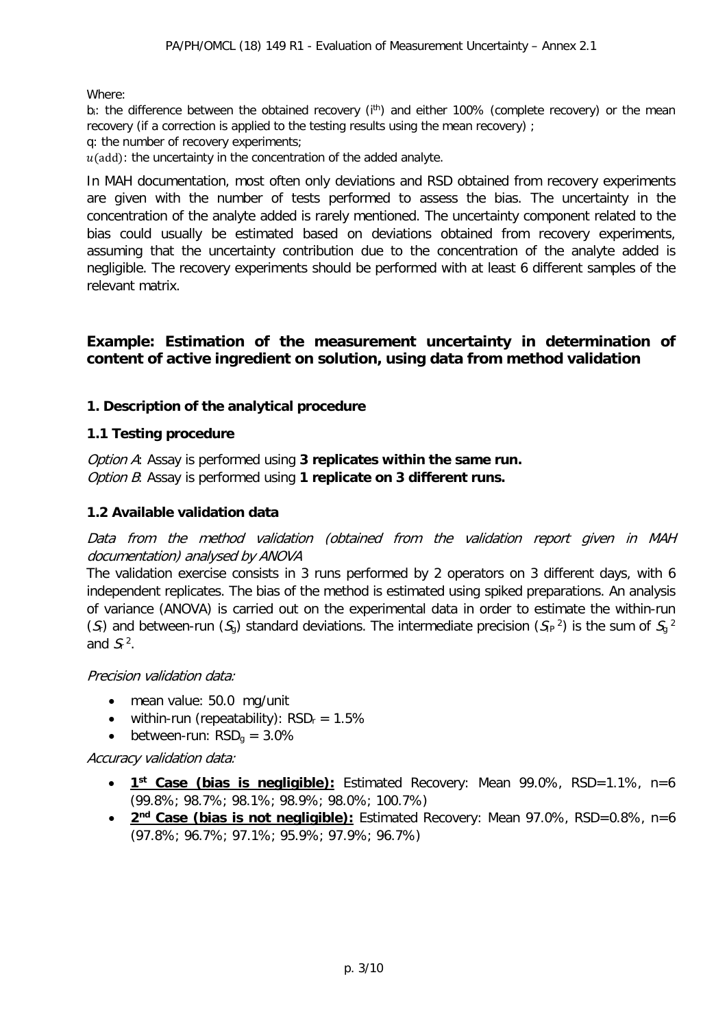Where:

b<sub>i</sub>: the difference between the obtained recovery (i<sup>th</sup>) and either 100% (complete recovery) or the mean recovery (if a correction is applied to the testing results using the mean recovery) ;

q: the number of recovery experiments;

 $u$ (add): the uncertainty in the concentration of the added analyte.

In MAH documentation, most often only deviations and RSD obtained from recovery experiments are given with the number of tests performed to assess the bias. The uncertainty in the concentration of the analyte added is rarely mentioned. The uncertainty component related to the bias could usually be estimated based on deviations obtained from recovery experiments, assuming that the uncertainty contribution due to the concentration of the analyte added is negligible. The recovery experiments should be performed with at least 6 different samples of the relevant matrix.

### **Example: Estimation of the measurement uncertainty in determination of content of active ingredient on solution, using data from method validation**

#### **1. Description of the analytical procedure**

#### **1.1 Testing procedure**

Option A: Assay is performed using **3 replicates within the same run.** Option B: Assay is performed using **1 replicate on 3 different runs.**

#### **1.2 Available validation data**

Data from the method validation (obtained from the validation report given in MAH documentation) analysed by ANOVA

The validation exercise consists in 3 runs performed by 2 operators on 3 different days, with 6 independent replicates. The bias of the method is estimated using spiked preparations. An analysis of variance (ANOVA) is carried out on the experimental data in order to estimate the within-run (S) and between-run (S<sub>g</sub>) standard deviations. The intermediate precision (S<sub>IP</sub><sup>2</sup>) is the sum of S<sub>g</sub><sup>2</sup> and  $S<sub>r</sub>$ <sup>2</sup>.

Precision validation data:

- mean value: 50.0 mg/unit
- within-run (repeatability):  $RSD_r = 1.5\%$
- between-run:  $RSD<sub>q</sub> = 3.0\%$

Accuracy validation data:

- **1st Case (bias is negligible):** Estimated Recovery: Mean 99.0%, RSD=1.1%, n=6 (99.8%; 98.7%; 98.1%; 98.9%; 98.0%; 100.7%)
- 2<sup>nd</sup> Case (bias is not negligible): Estimated Recovery: Mean 97.0%, RSD=0.8%, n=6 (97.8%; 96.7%; 97.1%; 95.9%; 97.9%; 96.7%)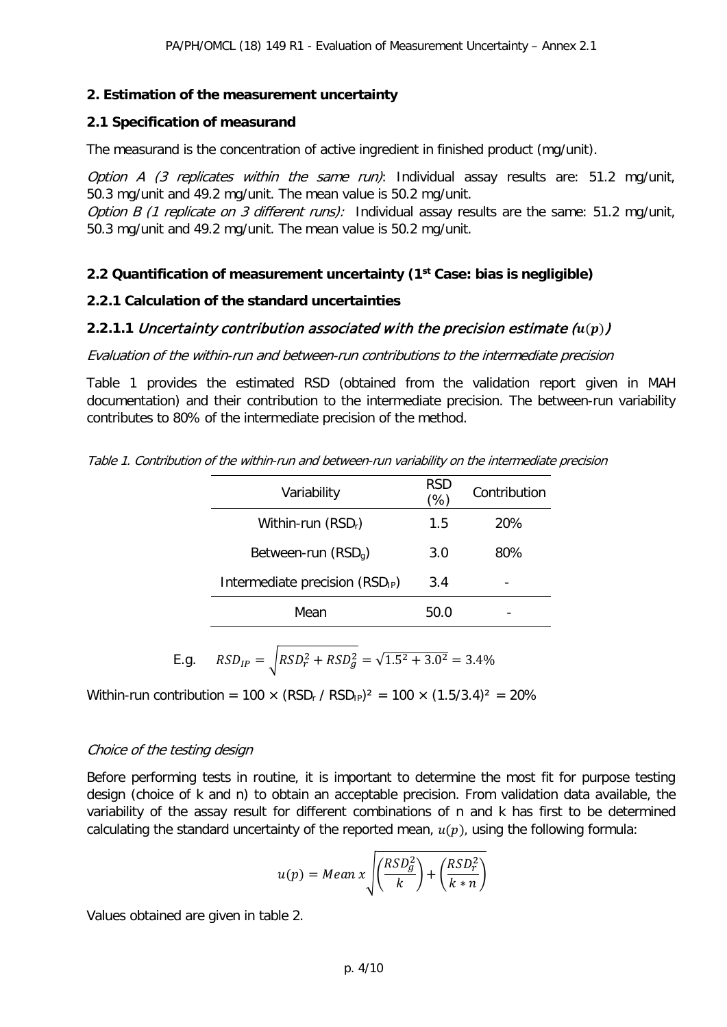#### **2. Estimation of the measurement uncertainty**

#### **2.1 Specification of measurand**

The measurand is the concentration of active ingredient in finished product (mg/unit).

Option A (3 replicates within the same run): Individual assay results are: 51.2 mg/unit, 50.3 mg/unit and 49.2 mg/unit. The mean value is 50.2 mg/unit.

Option B (1 replicate on 3 different runs): Individual assay results are the same:  $51.2$  mg/unit, 50.3 mg/unit and 49.2 mg/unit. The mean value is 50.2 mg/unit.

### **2.2 Quantification of measurement uncertainty (1st Case: bias is negligible)**

#### **2.2.1 Calculation of the standard uncertainties**

## **2.2.1.1 Uncertainty contribution associated with the precision estimate**  $(u(p))$

Evaluation of the within-run and between-run contributions to the intermediate precision

Table 1 provides the estimated RSD (obtained from the validation report given in MAH documentation) and their contribution to the intermediate precision. The between-run variability contributes to 80% of the intermediate precision of the method.

Table 1. Contribution of the within-run and between-run variability on the intermediate precision

| Variability                                 | RSD<br>(%) | Contribution |
|---------------------------------------------|------------|--------------|
| Within-run $(RSDr)$                         | 1.5        | 20%          |
| Between-run $(RSDq)$                        | 3.0        | 80%          |
| Intermediate precision (RSD <sub>IP</sub> ) | 3.4        |              |
| Mean                                        | 50.0       |              |

E.g. 
$$
RSD_{IP} = \sqrt{RSD_r^2 + RSD_g^2} = \sqrt{1.5^2 + 3.0^2} = 3.4\%
$$

Within-run contribution =  $100 \times (RSD_r / RSD_p)^2 = 100 \times (1.5/3.4)^2 = 20\%$ 

#### Choice of the testing design

Before performing tests in routine, it is important to determine the most fit for purpose testing design (choice of k and n) to obtain an acceptable precision. From validation data available, the variability of the assay result for different combinations of n and k has first to be determined calculating the standard uncertainty of the reported mean,  $u(p)$ , using the following formula:

$$
u(p) = Mean x \sqrt{\left(\frac{RSD_{g}^{2}}{k}\right) + \left(\frac{RSD_{r}^{2}}{k*n}\right)}
$$

Values obtained are given in table 2.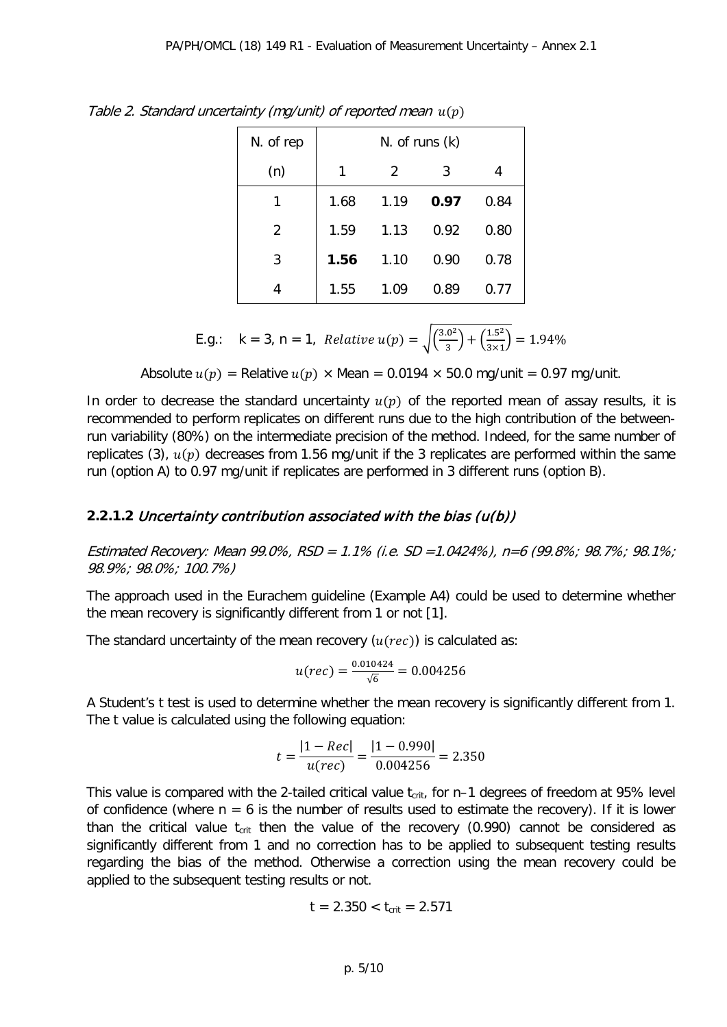| N. of rep      | $N.$ of runs $(k)$ |               |      |      |
|----------------|--------------------|---------------|------|------|
| (n)            | 1                  | $\mathcal{P}$ | 3    |      |
| 1              | 1.68               | 1.19          | 0.97 | 0.84 |
| $\overline{2}$ | 1.59               | 1.13          | 0.92 | 0.80 |
| 3              | 1.56               | 1.10          | 0.90 | 0.78 |
| 4              | 1.55               | 1.09          | 0.89 | 0.77 |

Table 2. Standard uncertainty (mg/unit) of reported mean  $u(p)$ 

E.g.: 
$$
k = 3
$$
,  $n = 1$ , *Relative*  $u(p) = \sqrt{\left(\frac{3.0^2}{3}\right) + \left(\frac{1.5^2}{3 \times 1}\right)} = 1.94\%$ 

Absolute  $u(p)$  = Relative  $u(p) \times \text{Mean} = 0.0194 \times 50.0 \text{ mg/unit} = 0.97 \text{ mg/unit}.$ 

In order to decrease the standard uncertainty  $u(p)$  of the reported mean of assay results, it is recommended to perform replicates on different runs due to the high contribution of the betweenrun variability (80%) on the intermediate precision of the method. Indeed, for the same number of replicates (3),  $u(p)$  decreases from 1.56 mg/unit if the 3 replicates are performed within the same run (option A) to 0.97 mg/unit if replicates are performed in 3 different runs (option B).

## **2.2.1.2** Uncertainty contribution associated with the bias (u(b))

Estimated Recovery: Mean 99.0%, RSD = 1.1% (i.e. SD = 1.0424%), n=6 (99.8%; 98.7%; 98.1%; 98.9%; 98.0%; 100.7%)

The approach used in the Eurachem guideline (Example A4) could be used to determine whether the mean recovery is significantly different from 1 or not [1].

The standard uncertainty of the mean recovery  $(u(rec))$  is calculated as:

$$
u(rec) = \frac{0.010424}{\sqrt{6}} = 0.004256
$$

A Student's t test is used to determine whether the mean recovery is significantly different from 1. The t value is calculated using the following equation:

$$
t = \frac{|1 - Rec|}{u(rec)} = \frac{|1 - 0.990|}{0.004256} = 2.350
$$

This value is compared with the 2-tailed critical value  $t_{crit}$ , for n–1 degrees of freedom at 95% level of confidence (where  $n = 6$  is the number of results used to estimate the recovery). If it is lower than the critical value  $t_{crit}$  then the value of the recovery (0.990) cannot be considered as significantly different from 1 and no correction has to be applied to subsequent testing results regarding the bias of the method. Otherwise a correction using the mean recovery could be applied to the subsequent testing results or not.

$$
t = 2.350 < t_{\text{crit}} = 2.571
$$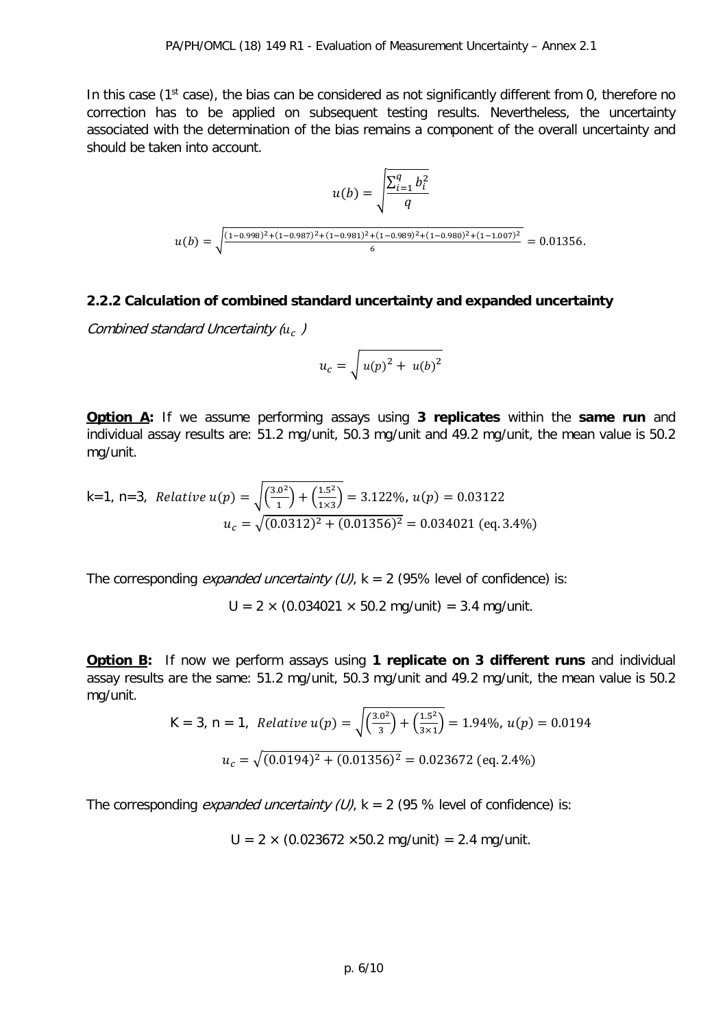In this case (1<sup>st</sup> case), the bias can be considered as not significantly different from 0, therefore no correction has to be applied on subsequent testing results. Nevertheless, the uncertainty associated with the determination of the bias remains a component of the overall uncertainty and should be taken into account.

$$
u(b) = \sqrt{\frac{\sum_{i=1}^{q} b_i^2}{q}}
$$

$$
u(b) = \sqrt{\frac{(1-0.998)^2 + (1-0.987)^2 + (1-0.981)^2 + (1-0.989)^2 + (1-0.980)^2 + (1-1.007)^2}{6}} = 0.01356.
$$

#### **2.2.2 Calculation of combined standard uncertainty and expanded uncertainty**

Combined standard Uncertainty  $(u<sub>c</sub>)$ 

$$
u_c = \sqrt{u(p)^2 + u(b)^2}
$$

**Option A:** If we assume performing assays using **3 replicates** within the **same run** and individual assay results are: 51.2 mg/unit, 50.3 mg/unit and 49.2 mg/unit, the mean value is 50.2 mg/unit.

k=1, n=3, *Relative* 
$$
u(p) = \sqrt{\left(\frac{3.0^2}{1}\right) + \left(\frac{1.5^2}{1 \times 3}\right)} = 3.122\%, u(p) = 0.03122
$$
  

$$
u_c = \sqrt{(0.0312)^2 + (0.01356)^2} = 0.034021 \text{ (eq. 3.4\%)}
$$

The corresponding *expanded uncertainty (U)*,  $k = 2$  (95% level of confidence) is:

 $U = 2 \times (0.034021 \times 50.2 \text{ mg/unit}) = 3.4 \text{ mg/unit}.$ 

**Option B:** If now we perform assays using **1 replicate on 3 different runs** and individual assay results are the same: 51.2 mg/unit, 50.3 mg/unit and 49.2 mg/unit, the mean value is 50.2 mg/unit.

K = 3, n = 1, *Relative* 
$$
u(p) = \sqrt{\left(\frac{3.0^2}{3}\right) + \left(\frac{1.5^2}{3 \times 1}\right)} = 1.94\%, u(p) = 0.0194
$$
  
 $u_c = \sqrt{(0.0194)^2 + (0.01356)^2} = 0.023672$  (eq. 2.4%)

The corresponding *expanded uncertainty (U)*,  $k = 2$  (95 % level of confidence) is:

$$
U = 2 \times (0.023672 \times 50.2 \text{ mg/unit}) = 2.4 \text{ mg/unit}.
$$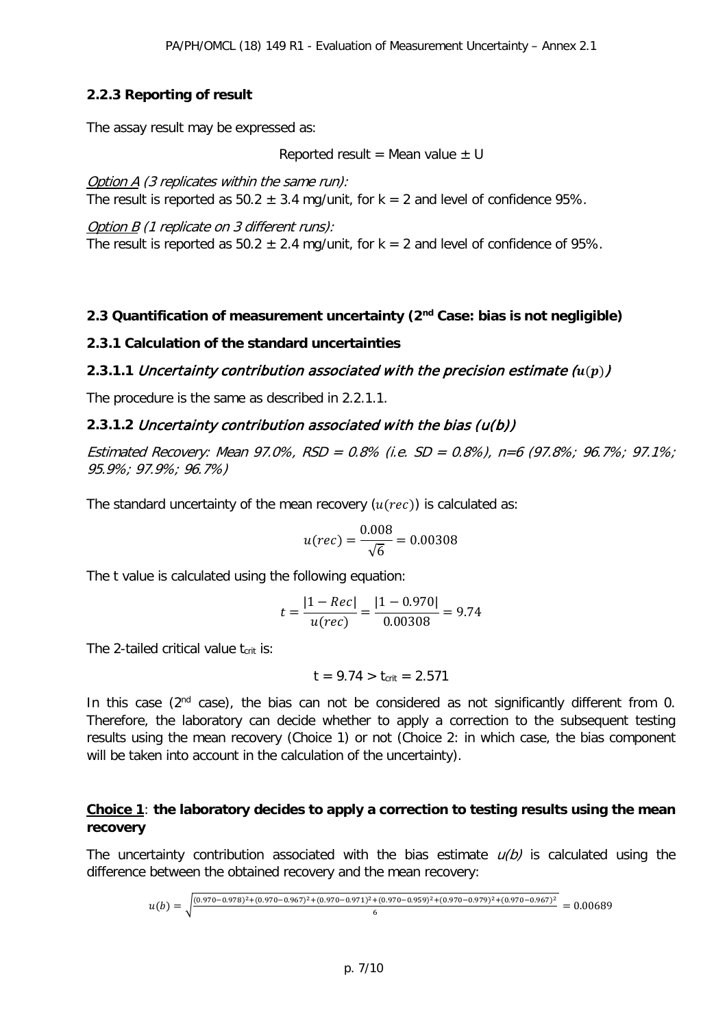### **2.2.3 Reporting of result**

The assay result may be expressed as:

Reported result = Mean value  $\pm$  U

Option A (3 replicates within the same run): The result is reported as  $50.2 \pm 3.4$  mg/unit, for k = 2 and level of confidence 95%.

Option B (1 replicate on 3 different runs): The result is reported as  $50.2 \pm 2.4$  mg/unit, for k = 2 and level of confidence of 95%.

### **2.3 Quantification of measurement uncertainty (2nd Case: bias is not negligible)**

#### **2.3.1 Calculation of the standard uncertainties**

#### **2.3.1.1 Uncertainty contribution associated with the precision estimate**  $(u(p))$

The procedure is the same as described in 2.2.1.1.

#### **2.3.1.2** Uncertainty contribution associated with the bias (u(b))

Estimated Recovery: Mean 97.0%, RSD = 0.8% (i.e. SD = 0.8%), n=6 (97.8%; 96.7%; 97.1%; 95.9%; 97.9%; 96.7%)

The standard uncertainty of the mean recovery  $(u(rec))$  is calculated as:

$$
u(rec) = \frac{0.008}{\sqrt{6}} = 0.00308
$$

The t value is calculated using the following equation:

$$
t = \frac{|1 - Rec|}{u(rec)} = \frac{|1 - 0.970|}{0.00308} = 9.74
$$

The 2-tailed critical value  $t_{crit}$  is:

$$
t = 9.74 > t_{crit} = 2.571
$$

In this case  $(2^{nd}$  case), the bias can not be considered as not significantly different from 0. Therefore, the laboratory can decide whether to apply a correction to the subsequent testing results using the mean recovery (Choice 1) or not (Choice 2: in which case, the bias component will be taken into account in the calculation of the uncertainty).

#### **Choice 1**: **the laboratory decides to apply a correction to testing results using the mean recovery**

The uncertainty contribution associated with the bias estimate  $u(b)$  is calculated using the difference between the obtained recovery and the mean recovery:

$$
u(b) = \sqrt{\frac{(0.970 - 0.978)^2 + (0.970 - 0.967)^2 + (0.970 - 0.971)^2 + (0.970 - 0.959)^2 + (0.970 - 0.979)^2 + (0.970 - 0.967)^2}{6}} = 0.00689
$$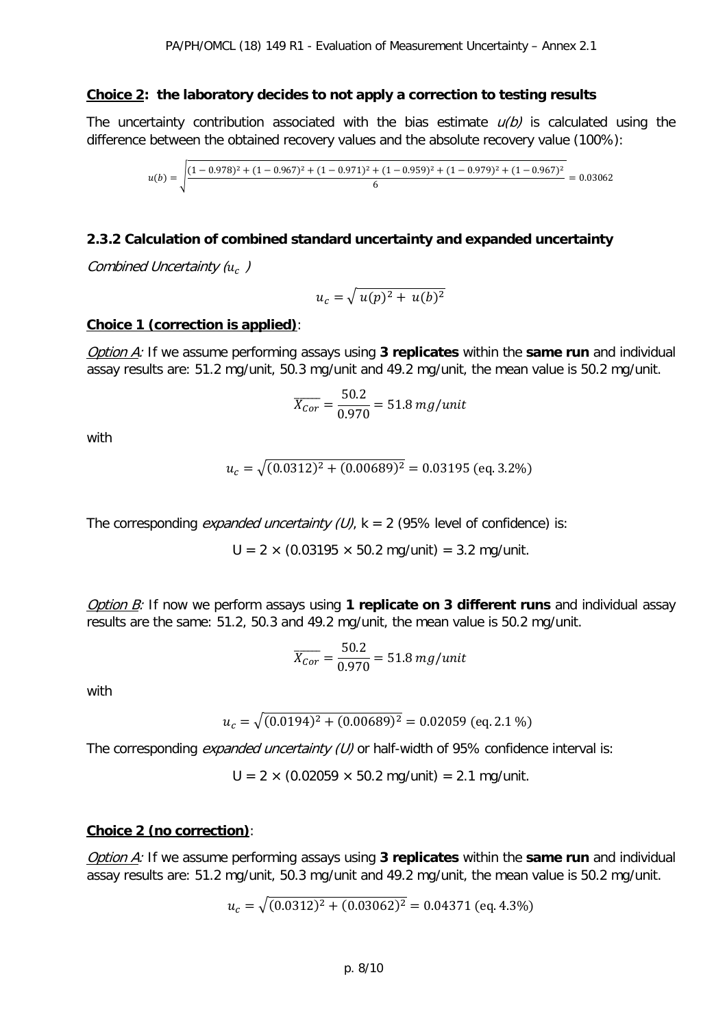#### **Choice 2: the laboratory decides to not apply a correction to testing results**

The uncertainty contribution associated with the bias estimate  $u(b)$  is calculated using the difference between the obtained recovery values and the absolute recovery value (100%):

$$
u(b) = \sqrt{\frac{(1 - 0.978)^2 + (1 - 0.967)^2 + (1 - 0.971)^2 + (1 - 0.959)^2 + (1 - 0.979)^2 + (1 - 0.967)^2}{6}} = 0.03062
$$

#### **2.3.2 Calculation of combined standard uncertainty and expanded uncertainty**

Combined Uncertainty  $(u_c)$ 

$$
u_c = \sqrt{u(p)^2 + u(b)^2}
$$

#### **Choice 1 (correction is applied)**:

Option A: If we assume performing assays using **3 replicates** within the **same run** and individual assay results are: 51.2 mg/unit, 50.3 mg/unit and 49.2 mg/unit, the mean value is 50.2 mg/unit.

$$
\overline{X_{Cor}} = \frac{50.2}{0.970} = 51.8 \, mg/unit
$$

with

$$
u_c = \sqrt{(0.0312)^2 + (0.00689)^2} = 0.03195 \text{ (eq. 3.2\%)}
$$

The corresponding *expanded uncertainty (U)*,  $k = 2$  (95% level of confidence) is:

 $U = 2 \times (0.03195 \times 50.2 \text{ mg/unit}) = 3.2 \text{ mg/unit}.$ 

Option B: If now we perform assays using **1 replicate on 3 different runs** and individual assay results are the same: 51.2, 50.3 and 49.2 mg/unit, the mean value is 50.2 mg/unit.

$$
\overline{X_{Cor}} = \frac{50.2}{0.970} = 51.8 \, mg/unit
$$

with

$$
u_c = \sqrt{(0.0194)^2 + (0.00689)^2} = 0.02059 \text{ (eq. 2.1 \%)}
$$

The corresponding *expanded uncertainty (U)* or half-width of 95% confidence interval is:

 $U = 2 \times (0.02059 \times 50.2 \text{ mg/unit}) = 2.1 \text{ mg/unit}.$ 

#### **Choice 2 (no correction)**:

Option A: If we assume performing assays using **3 replicates** within the **same run** and individual assay results are: 51.2 mg/unit, 50.3 mg/unit and 49.2 mg/unit, the mean value is 50.2 mg/unit.

$$
u_c = \sqrt{(0.0312)^2 + (0.03062)^2} = 0.04371 \text{ (eq. 4.3\%)}
$$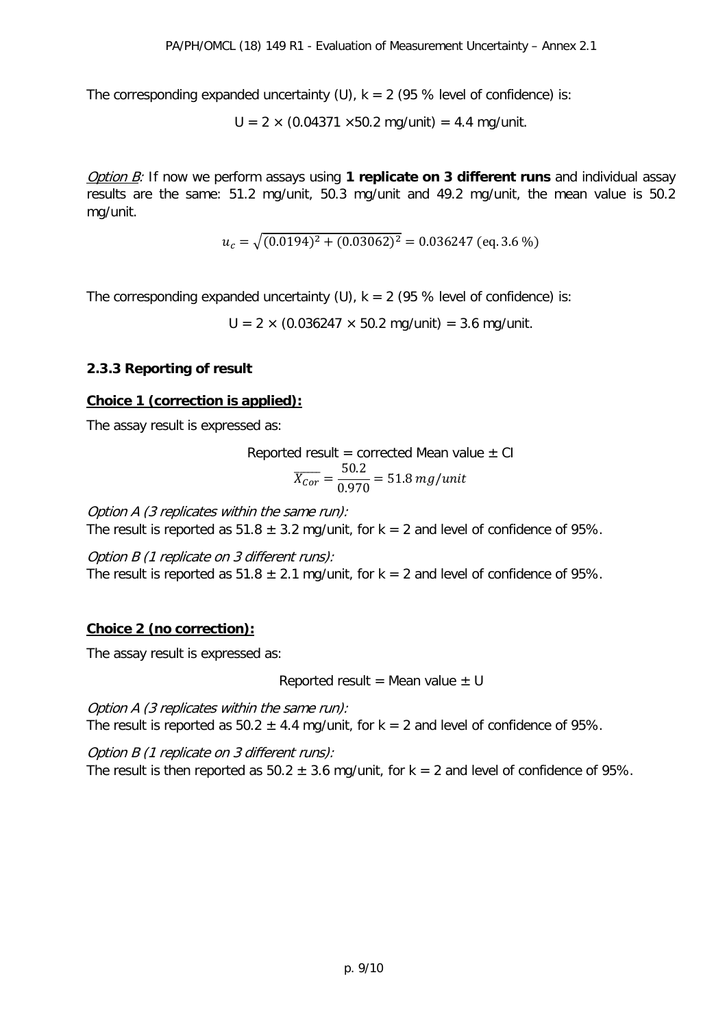The corresponding expanded uncertainty (U),  $k = 2$  (95 % level of confidence) is:

 $U = 2 \times (0.04371 \times 50.2 \text{ mg/unit}) = 4.4 \text{ mg/unit}.$ 

Option B: If now we perform assays using **1 replicate on 3 different runs** and individual assay results are the same: 51.2 mg/unit, 50.3 mg/unit and 49.2 mg/unit, the mean value is 50.2 mg/unit.

$$
u_c = \sqrt{(0.0194)^2 + (0.03062)^2} = 0.036247 \text{ (eq. 3.6 \%)}
$$

The corresponding expanded uncertainty (U),  $k = 2$  (95 % level of confidence) is:

 $U = 2 \times (0.036247 \times 50.2 \text{ mg/unit}) = 3.6 \text{ mg/unit}.$ 

### **2.3.3 Reporting of result**

#### **Choice 1 (correction is applied):**

The assay result is expressed as:

Reported result = corrected Mean value ± CI  

$$
\overline{X_{Cor}} = \frac{50.2}{0.970} = 51.8 \text{ mg/unit}
$$

Option A (3 replicates within the same run):

The result is reported as  $51.8 \pm 3.2$  mg/unit, for k = 2 and level of confidence of 95%.

Option B (1 replicate on 3 different runs): The result is reported as  $51.8 \pm 2.1$  mg/unit, for k = 2 and level of confidence of 95%.

### **Choice 2 (no correction):**

The assay result is expressed as:

Reported result = Mean value  $\pm$  U

Option A (3 replicates within the same run): The result is reported as  $50.2 \pm 4.4$  mg/unit, for k = 2 and level of confidence of 95%.

Option B (1 replicate on 3 different runs): The result is then reported as  $50.2 \pm 3.6$  mg/unit, for k = 2 and level of confidence of 95%.